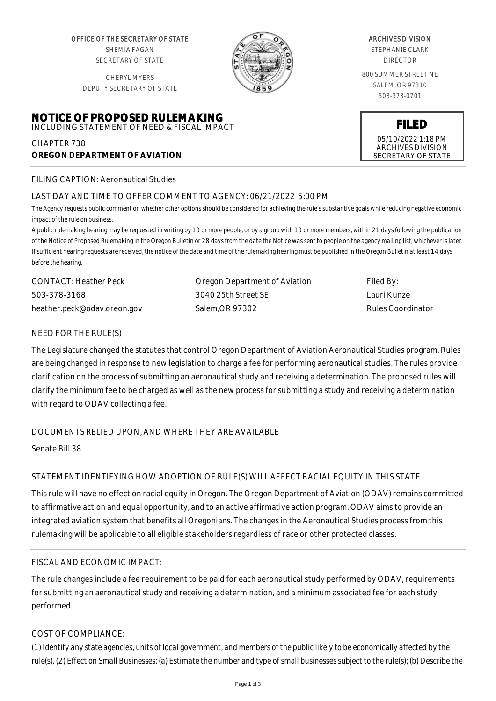OFFICE OF THE SECRETARY OF STATE SHEMIA FAGAN SECRETARY OF STATE

CHERYL MYERS DEPUTY SECRETARY OF STATE

**NOTICE OF PROPOSED RULEMAKING** INCLUDING STATEMENT OF NEED & FISCAL IMPACT



#### ARCHIVES DIVISION

STEPHANIE CLARK DIRECTOR

800 SUMMER STREET NE SALEM, OR 97310 503-373-0701

**FILED**

05/10/2022 1:18 PM ARCHIVES DIVISION SECRETARY OF STATE

FILING CAPTION: Aeronautical Studies

**OREGON DEPARTMENT OF AVIATION**

CHAPTER 738

# LAST DAY AND TIME TO OFFER COMMENT TO AGENCY: 06/21/2022 5:00 PM

*The Agency requests public comment on whether other options should be considered for achieving the rule's substantive goals while reducing negative economic impact of the rule on business.*

*A public rulemaking hearing may be requested in writing by 10 or more people, or by a group with 10 or more members, within 21 days following the publication of the Notice of Proposed Rulemaking in the Oregon Bulletin or 28 days from the date the Notice was sent to people on the agency mailing list, whichever is later. If sufficient hearing requests are received, the notice of the date and time of the rulemaking hearing must be published in the Oregon Bulletin at least 14 days before the hearing.*

| <b>CONTACT: Heather Peck</b> | Oregon Department of Aviation | Filed By:         |
|------------------------------|-------------------------------|-------------------|
| 503-378-3168                 | 3040 25th Street SE           | Lauri Kunze       |
| heather.peck@odav.oreon.gov  | Salem.OR 97302                | Rules Coordinator |

## NEED FOR THE RULE(S)

The Legislature changed the statutes that control Oregon Department of Aviation Aeronautical Studies program. Rules are being changed in response to new legislation to charge a fee for performing aeronautical studies. The rules provide clarification on the process of submitting an aeronautical study and receiving a determination. The proposed rules will clarify the minimum fee to be charged as well as the new process for submitting a study and receiving a determination with regard to ODAV collecting a fee.

DOCUMENTS RELIED UPON, AND WHERE THEY ARE AVAILABLE

Senate Bill 38

## STATEMENT IDENTIFYING HOW ADOPTION OF RULE(S) WILL AFFECT RACIAL EQUITY IN THIS STATE

This rule will have no effect on racial equity in Oregon. The Oregon Department of Aviation (ODAV) remains committed to affirmative action and equal opportunity, and to an active affirmative action program. ODAV aims to provide an integrated aviation system that benefits all Oregonians. The changes in the Aeronautical Studies process from this rulemaking will be applicable to all eligible stakeholders regardless of race or other protected classes.

## FISCAL AND ECONOMIC IMPACT:

The rule changes include a fee requirement to be paid for each aeronautical study performed by ODAV, requirements for submitting an aeronautical study and receiving a determination, and a minimum associated fee for each study performed.

## COST OF COMPLIANCE:

*(1) Identify any state agencies, units of local government, and members of the public likely to be economically affected by the rule(s). (2) Effect on Small Businesses: (a) Estimate the number and type of small businesses subject to the rule(s); (b) Describe the*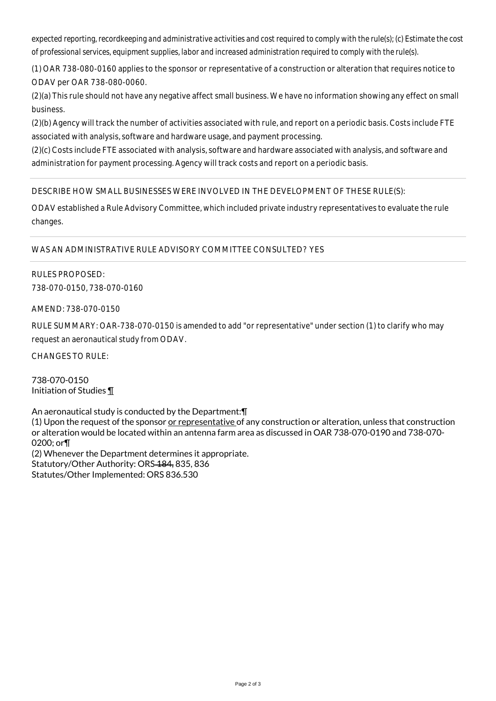*expected reporting, recordkeeping and administrative activities and cost required to comply with the rule(s); (c) Estimate the cost of professional services, equipment supplies, labor and increased administration required to comply with the rule(s).*

(1) OAR 738-080-0160 applies to the sponsor or representative of a construction or alteration that requires notice to ODAV per OAR 738-080-0060.

(2)(a) This rule should not have any negative affect small business. We have no information showing any effect on small business.

(2)(b) Agency will track the number of activities associated with rule, and report on a periodic basis. Costs include FTE associated with analysis, software and hardware usage, and payment processing.

(2)(c) Costs include FTE associated with analysis, software and hardware associated with analysis, and software and administration for payment processing. Agency will track costs and report on a periodic basis.

DESCRIBE HOW SMALL BUSINESSES WERE INVOLVED IN THE DEVELOPMENT OF THESE RULE(S):

ODAV established a Rule Advisory Committee, which included private industry representatives to evaluate the rule changes.

WAS AN ADMINISTRATIVE RULE ADVISORY COMMITTEE CONSULTED? YES

RULES PROPOSED: 738-070-0150, 738-070-0160

AMEND: 738-070-0150

RULE SUMMARY: OAR-738-070-0150 is amended to add "or representative" under section (1) to clarify who may request an aeronautical study from ODAV.

CHANGES TO RULE:

738-070-0150 Initiation of Studies ¶

An aeronautical study is conducted by the Department:¶ (1) Upon the request of the sponsor or representative of any construction or alteration, unless that construction or alteration would be located within an antenna farm area as discussed in OAR 738-070-0190 and 738-070- 0200; or¶ (2) Whenever the Department determines it appropriate. Statutory/Other Authority: ORS-184, 835, 836 Statutes/Other Implemented: ORS 836.530